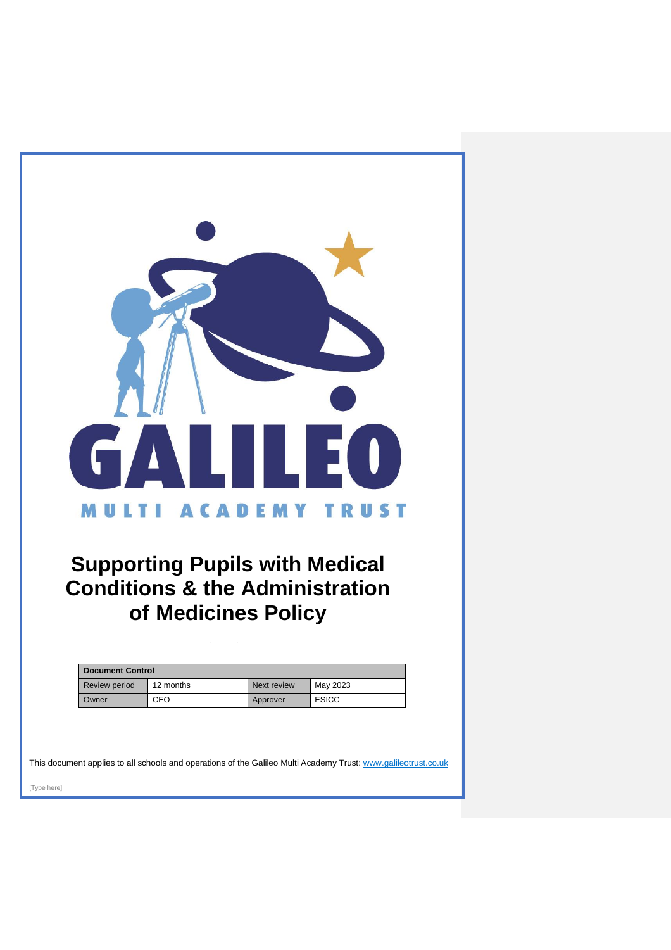

# **Supporting Pupils with Medical Conditions & the Administration of Medicines Policy**

| <b>Document Control</b> |           |             |              |
|-------------------------|-----------|-------------|--------------|
| Review period           | 12 months | Next review | May 2023     |
| Owner                   | CEO       | Approver    | <b>ESICC</b> |

Last Reviewed: August 2021

This document applies to all schools and operations of the Galileo Multi Academy Trust[: www.galileotrust.co.uk](http://www.galileotrust.co.uk/)

[Type here]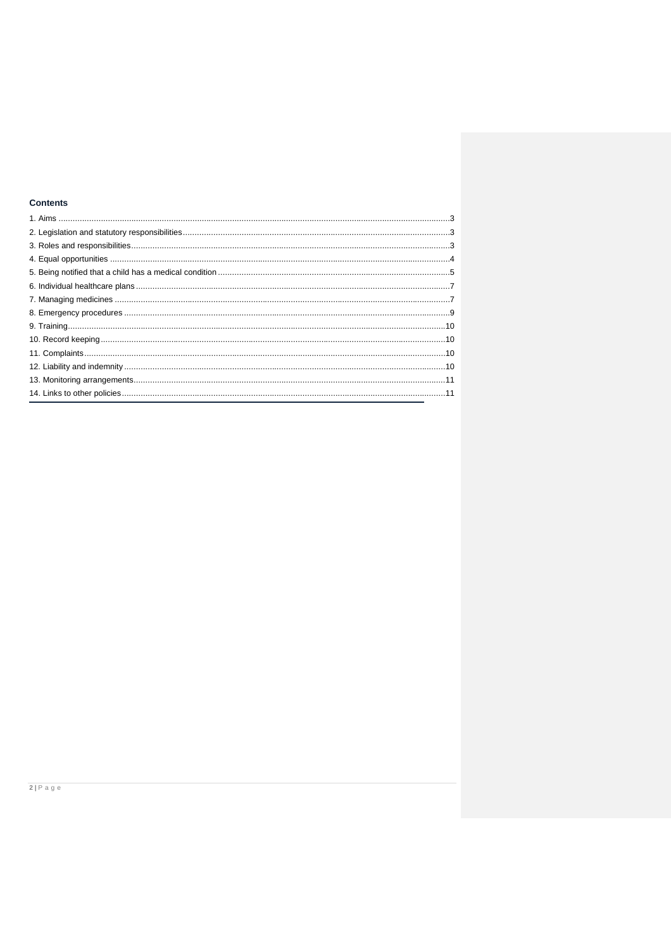# **Contents**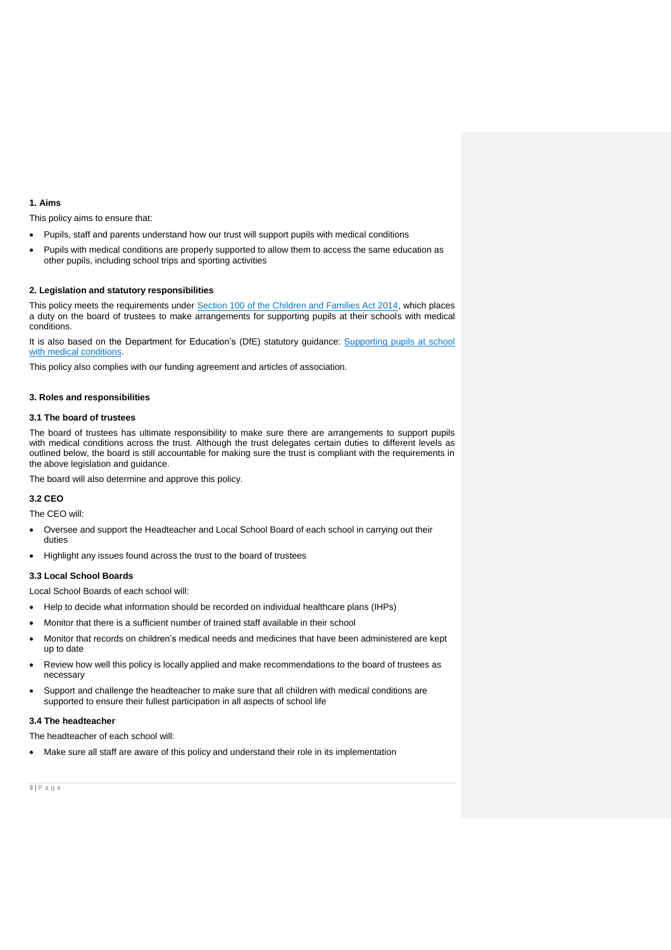## <span id="page-2-0"></span>**1. Aims**

This policy aims to ensure that:

• Pupils, staff and parents understand how our trust will support pupils with medical conditions

 Pupils with medical conditions are properly supported to allow them to access the same education as other pupils, including school trips and sporting activities

## <span id="page-2-1"></span>**2. Legislation and statutory responsibilities**

This policy meets the requirements under [Section 100 of the Children and Families Act 2014,](http://www.legislation.gov.uk/ukpga/2014/6/part/5/crossheading/pupils-with-medical-conditions) which places a duty on the board of trustees to make arrangements for supporting pupils at their schools with medical conditions.

It is also based on the Department for Education's (DfE) statutory guidance: Supporting pupils at school [with medical conditions.](https://www.gov.uk/government/publications/supporting-pupils-at-school-with-medical-conditions--3)

This policy also complies with our funding agreement and articles of association.

#### <span id="page-2-2"></span>**3. Roles and responsibilities**

#### **3.1 The board of trustees**

The board of trustees has ultimate responsibility to make sure there are arrangements to support pupils with medical conditions across the trust. Although the trust delegates certain duties to different levels as outlined below, the board is still accountable for making sure the trust is compliant with the requirements in the above legislation and guidance.

The board will also determine and approve this policy.

# **3.2 CEO**

The CEO will:

- Oversee and support the Headteacher and Local School Board of each school in carrying out their duties
- Highlight any issues found across the trust to the board of trustees

## **3.3 Local School Boards**

Local School Boards of each school will:

- Help to decide what information should be recorded on individual healthcare plans (IHPs)
- Monitor that there is a sufficient number of trained staff available in their school
- Monitor that records on children's medical needs and medicines that have been administered are kept up to date
- Review how well this policy is locally applied and make recommendations to the board of trustees as necessary
- Support and challenge the headteacher to make sure that all children with medical conditions are supported to ensure their fullest participation in all aspects of school life

## **3.4 The headteacher**

The headteacher of each school will:

Make sure all staff are aware of this policy and understand their role in its implementation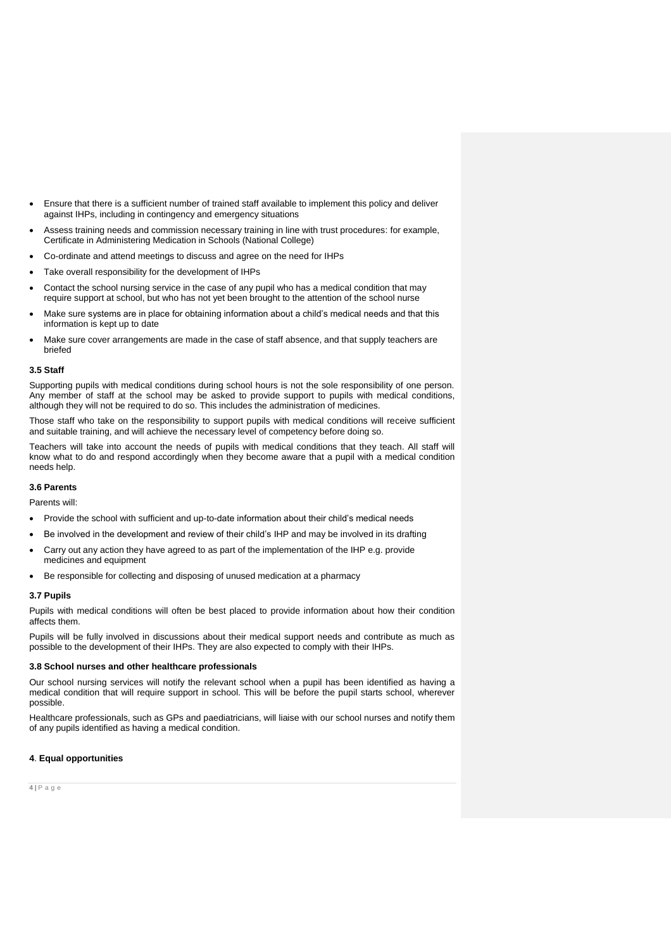- Ensure that there is a sufficient number of trained staff available to implement this policy and deliver against IHPs, including in contingency and emergency situations
- Assess training needs and commission necessary training in line with trust procedures: for example, Certificate in Administering Medication in Schools (National College)
- Co-ordinate and attend meetings to discuss and agree on the need for IHPs
- Take overall responsibility for the development of IHPs
- Contact the school nursing service in the case of any pupil who has a medical condition that may require support at school, but who has not yet been brought to the attention of the school nurse
- Make sure systems are in place for obtaining information about a child's medical needs and that this information is kept up to date
- Make sure cover arrangements are made in the case of staff absence, and that supply teachers are briefed

#### **3.5 Staff**

Supporting pupils with medical conditions during school hours is not the sole responsibility of one person. Any member of staff at the school may be asked to provide support to pupils with medical conditions, although they will not be required to do so. This includes the administration of medicines.

Those staff who take on the responsibility to support pupils with medical conditions will receive sufficient and suitable training, and will achieve the necessary level of competency before doing so.

Teachers will take into account the needs of pupils with medical conditions that they teach. All staff will know what to do and respond accordingly when they become aware that a pupil with a medical condition needs help.

# **3.6 Parents**

Parents will:

- Provide the school with sufficient and up-to-date information about their child's medical needs
- Be involved in the development and review of their child's IHP and may be involved in its drafting
- Carry out any action they have agreed to as part of the implementation of the IHP e.g. provide medicines and equipment
- Be responsible for collecting and disposing of unused medication at a pharmacy

#### **3.7 Pupils**

Pupils with medical conditions will often be best placed to provide information about how their condition affects them.

Pupils will be fully involved in discussions about their medical support needs and contribute as much as possible to the development of their IHPs. They are also expected to comply with their IHPs.

#### **3.8 School nurses and other healthcare professionals**

Our school nursing services will notify the relevant school when a pupil has been identified as having a medical condition that will require support in school. This will be before the pupil starts school, wherever possible.

Healthcare professionals, such as GPs and paediatricians, will liaise with our school nurses and notify them of any pupils identified as having a medical condition.

# <span id="page-3-0"></span>**4**. **Equal opportunities**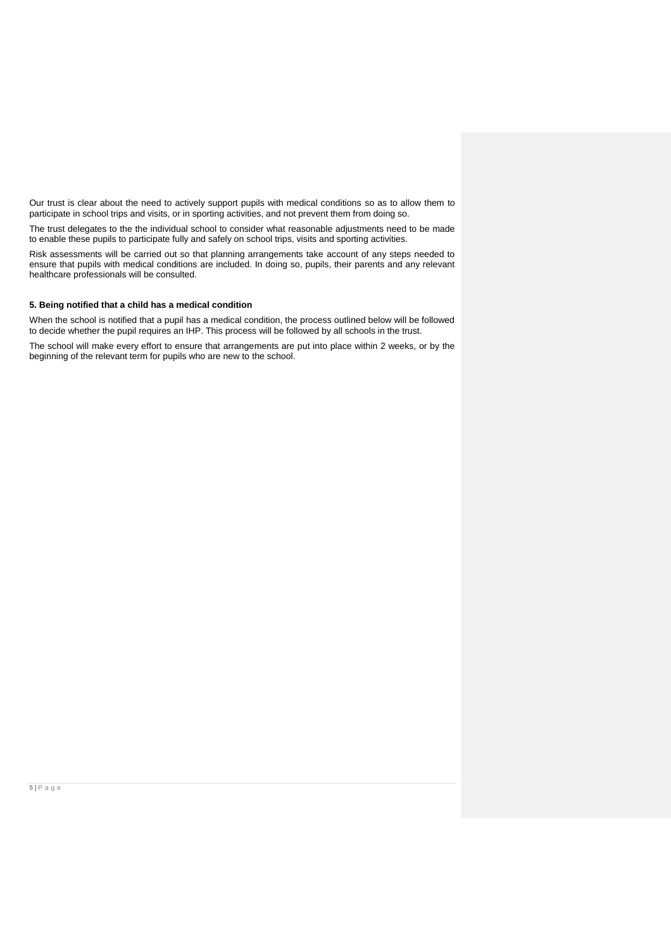Our trust is clear about the need to actively support pupils with medical conditions so as to allow them to participate in school trips and visits, or in sporting activities, and not prevent them from doing so.

The trust delegates to the the individual school to consider what reasonable adjustments need to be made to enable these pupils to participate fully and safely on school trips, visits and sporting activities.

Risk assessments will be carried out so that planning arrangements take account of any steps needed to ensure that pupils with medical conditions are included. In doing so, pupils, their parents and any relevant healthcare professionals will be consulted.

# <span id="page-4-0"></span>**5. Being notified that a child has a medical condition**

When the school is notified that a pupil has a medical condition, the process outlined below will be followed to decide whether the pupil requires an IHP. This process will be followed by all schools in the trust.

The school will make every effort to ensure that arrangements are put into place within 2 weeks, or by the beginning of the relevant term for pupils who are new to the school.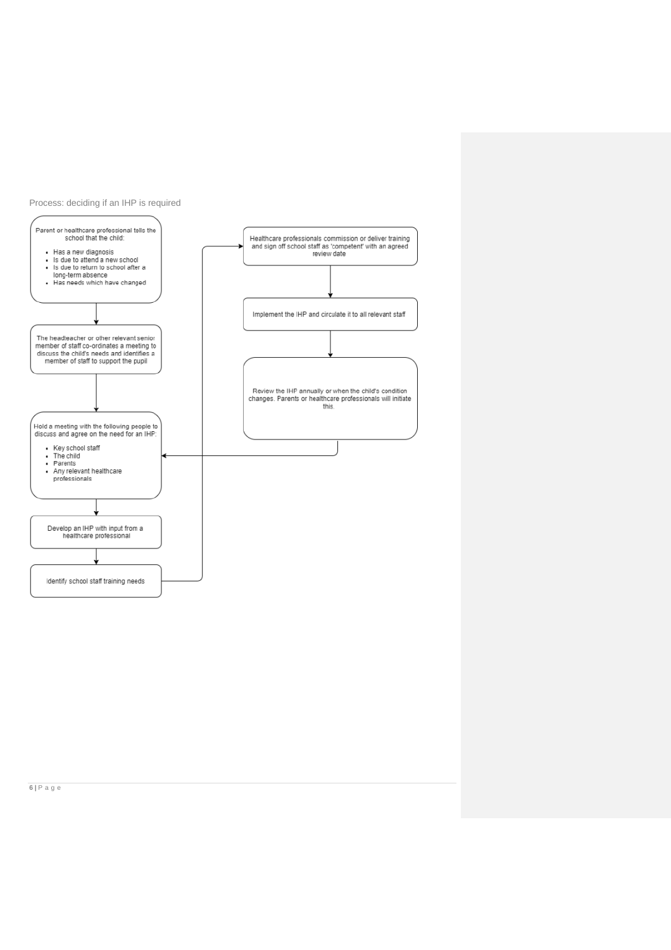

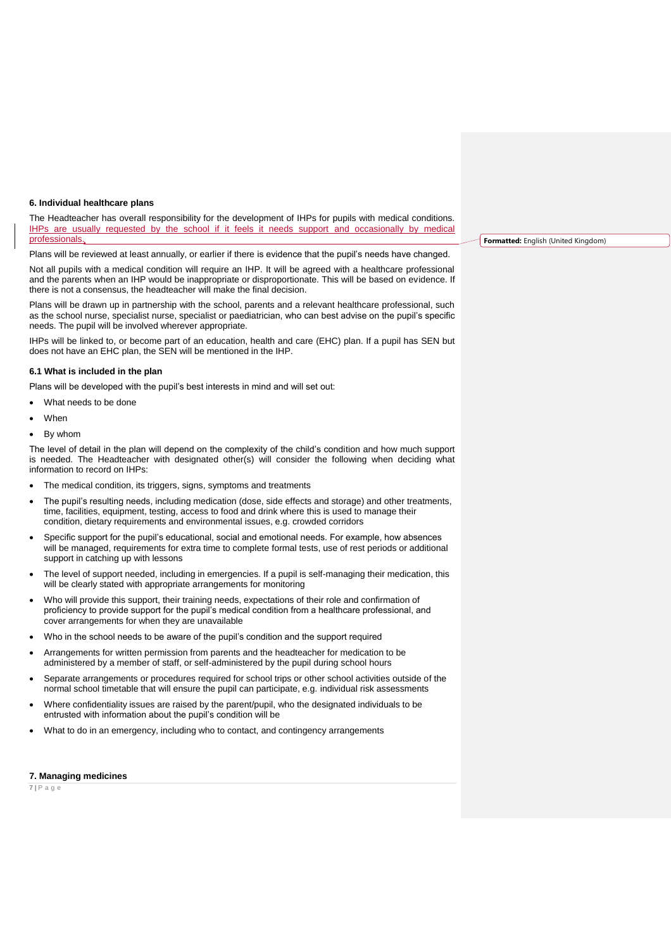#### <span id="page-6-0"></span>**6. Individual healthcare plans**

The Headteacher has overall responsibility for the development of IHPs for pupils with medical conditions. IHPs are usually requested by the school if it feels it needs support and occasionally by medical professionals.

Plans will be reviewed at least annually, or earlier if there is evidence that the pupil's needs have changed.

Not all pupils with a medical condition will require an IHP. It will be agreed with a healthcare professional and the parents when an IHP would be inappropriate or disproportionate. This will be based on evidence. If there is not a consensus, the headteacher will make the final decision.

Plans will be drawn up in partnership with the school, parents and a relevant healthcare professional, such as the school nurse, specialist nurse, specialist or paediatrician, who can best advise on the pupil's specific needs. The pupil will be involved wherever appropriate.

IHPs will be linked to, or become part of an education, health and care (EHC) plan. If a pupil has SEN but does not have an EHC plan, the SEN will be mentioned in the IHP.

#### **6.1 What is included in the plan**

Plans will be developed with the pupil's best interests in mind and will set out:

- What needs to be done
- When
- By whom

The level of detail in the plan will depend on the complexity of the child's condition and how much support is needed. The Headteacher with designated other(s) will consider the following when deciding what information to record on IHPs:

- The medical condition, its triggers, signs, symptoms and treatments
- The pupil's resulting needs, including medication (dose, side effects and storage) and other treatments, time, facilities, equipment, testing, access to food and drink where this is used to manage their condition, dietary requirements and environmental issues, e.g. crowded corridors
- Specific support for the pupil's educational, social and emotional needs. For example, how absences will be managed, requirements for extra time to complete formal tests, use of rest periods or additional support in catching up with lessons
- The level of support needed, including in emergencies. If a pupil is self-managing their medication, this will be clearly stated with appropriate arrangements for monitoring
- Who will provide this support, their training needs, expectations of their role and confirmation of proficiency to provide support for the pupil's medical condition from a healthcare professional, and cover arrangements for when they are unavailable
- Who in the school needs to be aware of the pupil's condition and the support required
- Arrangements for written permission from parents and the headteacher for medication to be administered by a member of staff, or self-administered by the pupil during school hours
- Separate arrangements or procedures required for school trips or other school activities outside of the normal school timetable that will ensure the pupil can participate, e.g. individual risk assessments
- Where confidentiality issues are raised by the parent/pupil, who the designated individuals to be entrusted with information about the pupil's condition will be
- What to do in an emergency, including who to contact, and contingency arrangements

#### <span id="page-6-1"></span>**7. Managing medicines**

**7 |** P a g e

**Formatted:** English (United Kingdom)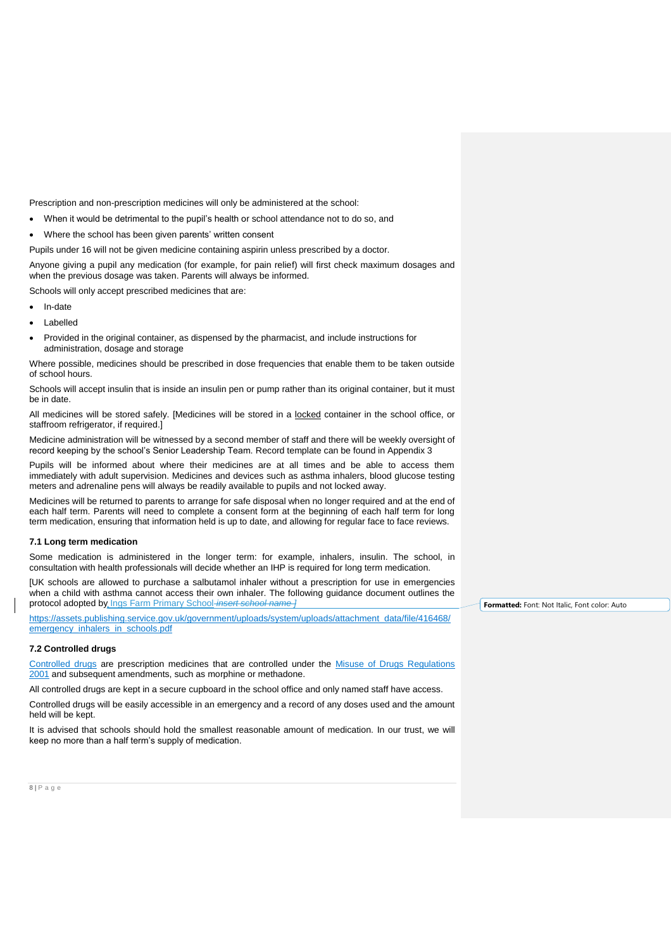Prescription and non-prescription medicines will only be administered at the school:

- When it would be detrimental to the pupil's health or school attendance not to do so, and
- Where the school has been given parents' written consent
- Pupils under 16 will not be given medicine containing aspirin unless prescribed by a doctor.

Anyone giving a pupil any medication (for example, for pain relief) will first check maximum dosages and when the previous dosage was taken. Parents will always be informed.

Schools will only accept prescribed medicines that are:

- In-date
- Labelled
- Provided in the original container, as dispensed by the pharmacist, and include instructions for administration, dosage and storage

Where possible, medicines should be prescribed in dose frequencies that enable them to be taken outside of school hours.

Schools will accept insulin that is inside an insulin pen or pump rather than its original container, but it must be in date.

All medicines will be stored safely. [Medicines will be stored in a locked container in the school office, or staffroom refrigerator, if required.]

Medicine administration will be witnessed by a second member of staff and there will be weekly oversight of record keeping by the school's Senior Leadership Team. Record template can be found in Appendix 3

Pupils will be informed about where their medicines are at all times and be able to access them immediately with adult supervision. Medicines and devices such as asthma inhalers, blood glucose testing meters and adrenaline pens will always be readily available to pupils and not locked away.

Medicines will be returned to parents to arrange for safe disposal when no longer required and at the end of each half term. Parents will need to complete a consent form at the beginning of each half term for long term medication, ensuring that information held is up to date, and allowing for regular face to face reviews.

#### **7.1 Long term medication**

Some medication is administered in the longer term: for example, inhalers, insulin. The school, in consultation with health professionals will decide whether an IHP is required for long term medication.

[UK schools are allowed to purchase a salbutamol inhaler without a prescription for use in emergencies when a child with asthma cannot access their own inhaler. The following guidance document outlines the protocol adopted by Ings Farm Primary School *insert school name ]*

[https://assets.publishing.service.gov.uk/government/uploads/system/uploads/attachment\\_data/file/416468/](https://assets.publishing.service.gov.uk/government/uploads/system/uploads/attachment_data/file/416468/emergency_inhalers_in_schools.pdf) [emergency\\_inhalers\\_in\\_schools.pdf](https://assets.publishing.service.gov.uk/government/uploads/system/uploads/attachment_data/file/416468/emergency_inhalers_in_schools.pdf)

#### **7.2 Controlled drugs**

[Controlled drugs](http://www.nhs.uk/chq/Pages/1391.aspx?CategoryID=73) are prescription medicines that are controlled under the [Misuse of Drugs Regulations](http://www.legislation.gov.uk/uksi/2001/3998/schedule/1/made)  [2001](http://www.legislation.gov.uk/uksi/2001/3998/schedule/1/made) and subsequent amendments, such as morphine or methadone.

All controlled drugs are kept in a secure cupboard in the school office and only named staff have access.

Controlled drugs will be easily accessible in an emergency and a record of any doses used and the amount held will be kept.

It is advised that schools should hold the smallest reasonable amount of medication. In our trust, we will keep no more than a half term's supply of medication.

**Formatted:** Font: Not Italic, Font color: Auto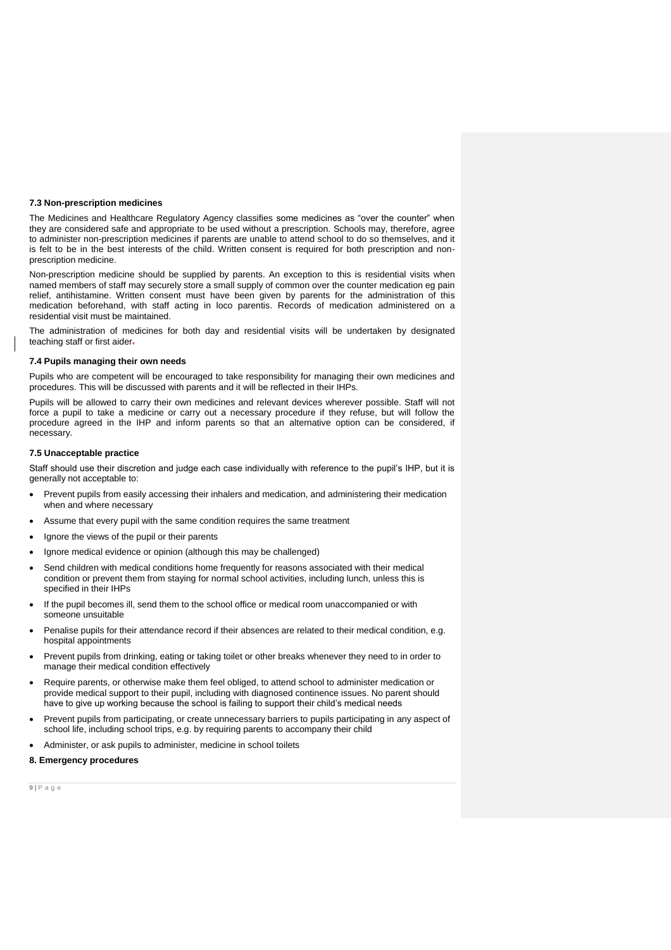#### **7.3 Non-prescription medicines**

The Medicines and Healthcare Regulatory Agency classifies some medicines as "over the counter" when they are considered safe and appropriate to be used without a prescription. Schools may, therefore, agree to administer non-prescription medicines if parents are unable to attend school to do so themselves, and it is felt to be in the best interests of the child. Written consent is required for both prescription and nonprescription medicine.

Non-prescription medicine should be supplied by parents. An exception to this is residential visits when named members of staff may securely store a small supply of common over the counter medication eg pain relief, antihistamine. Written consent must have been given by parents for the administration of this medication beforehand, with staff acting in loco parentis. Records of medication administered on a residential visit must be maintained.

The administration of medicines for both day and residential visits will be undertaken by designated teaching staff or first aider.

#### **7.4 Pupils managing their own needs**

Pupils who are competent will be encouraged to take responsibility for managing their own medicines and procedures. This will be discussed with parents and it will be reflected in their IHPs.

Pupils will be allowed to carry their own medicines and relevant devices wherever possible. Staff will not force a pupil to take a medicine or carry out a necessary procedure if they refuse, but will follow the procedure agreed in the IHP and inform parents so that an alternative option can be considered, if necessary.

## **7.5 Unacceptable practice**

Staff should use their discretion and judge each case individually with reference to the pupil's IHP, but it is generally not acceptable to:

- Prevent pupils from easily accessing their inhalers and medication, and administering their medication when and where necessary
- Assume that every pupil with the same condition requires the same treatment
- Ignore the views of the pupil or their parents
- Ignore medical evidence or opinion (although this may be challenged)
- Send children with medical conditions home frequently for reasons associated with their medical condition or prevent them from staying for normal school activities, including lunch, unless this is specified in their IHPs
- If the pupil becomes ill, send them to the school office or medical room unaccompanied or with someone unsuitable
- Penalise pupils for their attendance record if their absences are related to their medical condition, e.g. hospital appointments
- Prevent pupils from drinking, eating or taking toilet or other breaks whenever they need to in order to manage their medical condition effectively
- Require parents, or otherwise make them feel obliged, to attend school to administer medication or provide medical support to their pupil, including with diagnosed continence issues. No parent should have to give up working because the school is failing to support their child's medical needs
- Prevent pupils from participating, or create unnecessary barriers to pupils participating in any aspect of school life, including school trips, e.g. by requiring parents to accompany their child
- Administer, or ask pupils to administer, medicine in school toilets

# <span id="page-8-0"></span>**8. Emergency procedures**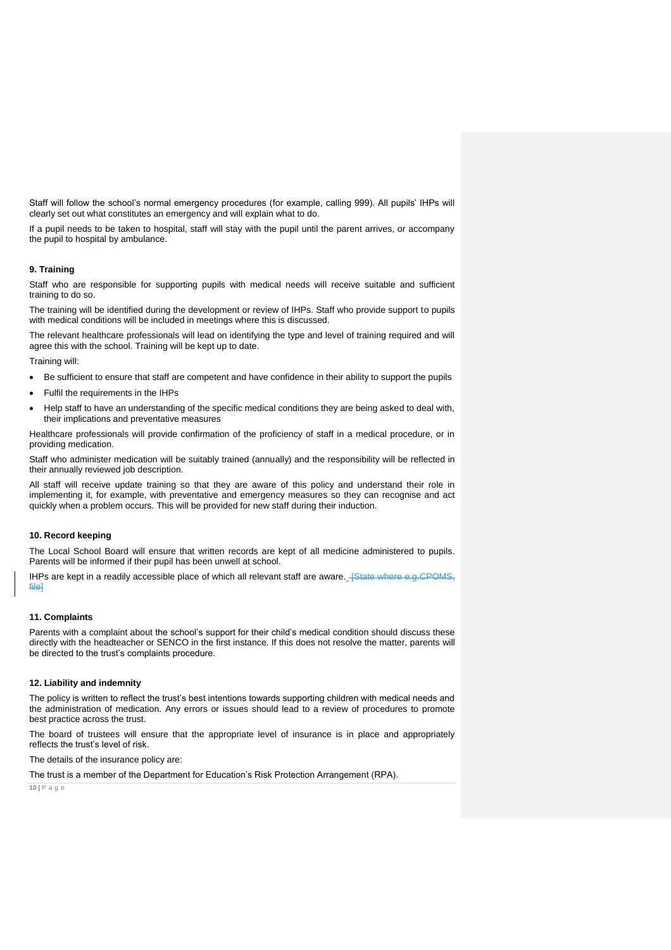Staff will follow the school's normal emergency procedures (for example, calling 999). All pupils' IHPs will clearly set out what constitutes an emergency and will explain what to do.

If a pupil needs to be taken to hospital, staff will stay with the pupil until the parent arrives, or accompany the pupil to hospital by ambulance.

# <span id="page-9-0"></span>**9. Training**

Staff who are responsible for supporting pupils with medical needs will receive suitable and sufficient training to do so.

The training will be identified during the development or review of IHPs. Staff who provide support to pupils with medical conditions will be included in meetings where this is discussed.

The relevant healthcare professionals will lead on identifying the type and level of training required and will agree this with the school. Training will be kept up to date.

Training will:

- Be sufficient to ensure that staff are competent and have confidence in their ability to support the pupils
- Fulfil the requirements in the IHPs
- Help staff to have an understanding of the specific medical conditions they are being asked to deal with, their implications and preventative measures

Healthcare professionals will provide confirmation of the proficiency of staff in a medical procedure, or in providing medication.

Staff who administer medication will be suitably trained (annually) and the responsibility will be reflected in their annually reviewed job description.

All staff will receive update training so that they are aware of this policy and understand their role in implementing it, for example, with preventative and emergency measures so they can recognise and act quickly when a problem occurs. This will be provided for new staff during their induction.

# <span id="page-9-1"></span>**10. Record keeping**

The Local School Board will ensure that written records are kept of all medicine administered to pupils. Parents will be informed if their pupil has been unwell at school.

IHPs are kept in a readily accessible place of which all relevant staff are aware. **[State where e.g.CPOMS**, file]

#### <span id="page-9-2"></span>**11. Complaints**

Parents with a complaint about the school's support for their child's medical condition should discuss these directly with the headteacher or SENCO in the first instance. If this does not resolve the matter, parents will be directed to the trust's complaints procedure.

#### <span id="page-9-3"></span>**12. Liability and indemnity**

The policy is written to reflect the trust's best intentions towards supporting children with medical needs and the administration of medication. Any errors or issues should lead to a review of procedures to promote best practice across the trust.

The board of trustees will ensure that the appropriate level of insurance is in place and appropriately reflects the trust's level of risk.

The details of the insurance policy are:

The trust is a member of the Department for Education's Risk Protection Arrangement (RPA).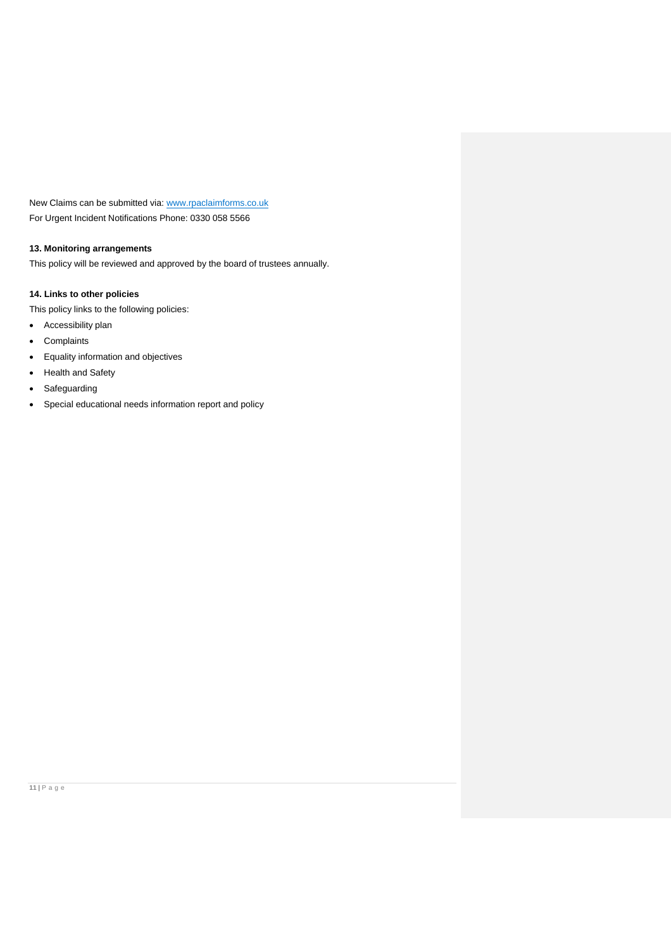New Claims can be submitted via: [www.rpaclaimforms.co.uk](http://www.rpaclaimforms.co.uk/) For Urgent Incident Notifications Phone: 0330 058 5566

# <span id="page-10-0"></span>**13. Monitoring arrangements**

This policy will be reviewed and approved by the board of trustees annually.

# <span id="page-10-1"></span>**14. Links to other policies**

This policy links to the following policies:

- Accessibility plan
- Complaints
- Equality information and objectives
- Health and Safety
- Safeguarding
- Special educational needs information report and policy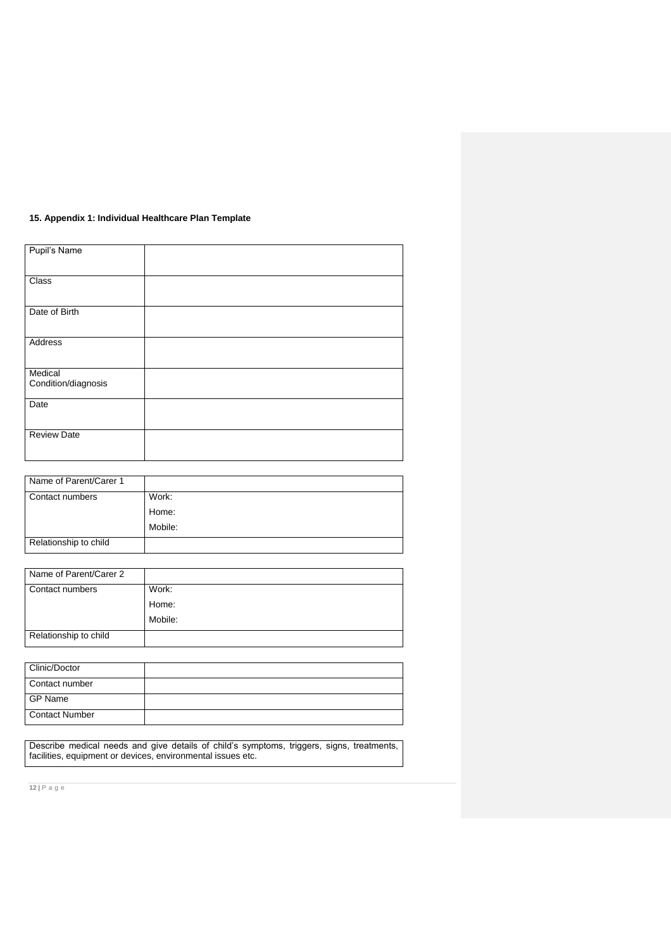# **15. Appendix 1: Individual Healthcare Plan Template**

| Pupil's Name                   |  |
|--------------------------------|--|
| Class                          |  |
| Date of Birth                  |  |
| Address                        |  |
| Medical<br>Condition/diagnosis |  |
| Date                           |  |
| <b>Review Date</b>             |  |

| Name of Parent/Carer 1 |         |
|------------------------|---------|
| Contact numbers        | Work:   |
|                        | Home:   |
|                        | Mobile: |
| Relationship to child  |         |

| Name of Parent/Carer 2 |         |
|------------------------|---------|
| Contact numbers        | Work:   |
|                        | Home:   |
|                        | Mobile: |
| Relationship to child  |         |

| Clinic/Doctor         |  |
|-----------------------|--|
| Contact number        |  |
| <b>GP Name</b>        |  |
| <b>Contact Number</b> |  |

Describe medical needs and give details of child's symptoms, triggers, signs, treatments, facilities, equipment or devices, environmental issues etc.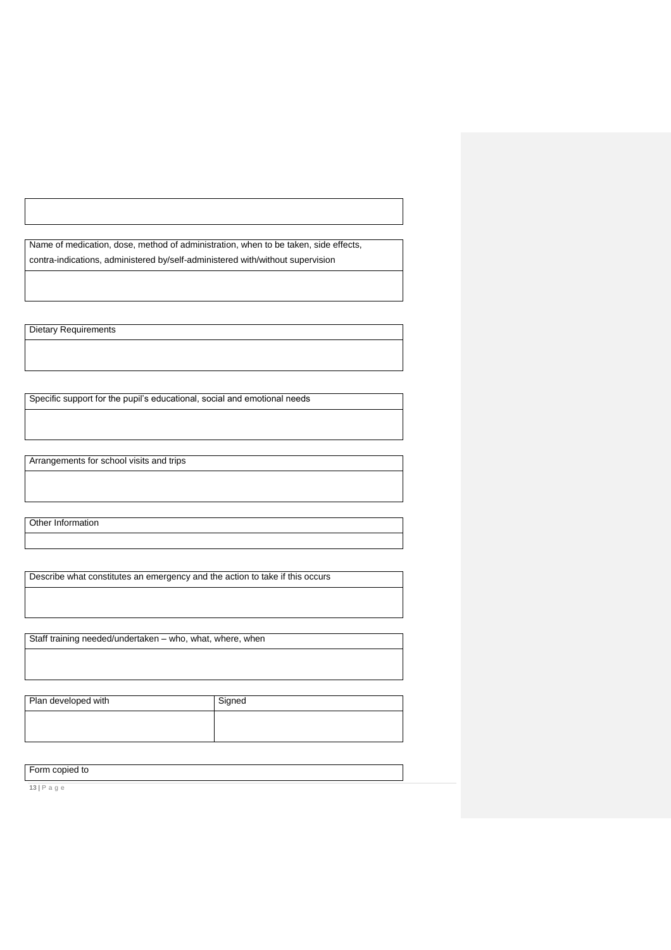Name of medication, dose, method of administration, when to be taken, side effects, contra-indications, administered by/self-administered with/without supervision

Dietary Requirements

Specific support for the pupil's educational, social and emotional needs

Arrangements for school visits and trips

Other Information

Describe what constitutes an emergency and the action to take if this occurs

Staff training needed/undertaken – who, what, where, when

Plan developed with Signed

Form copied to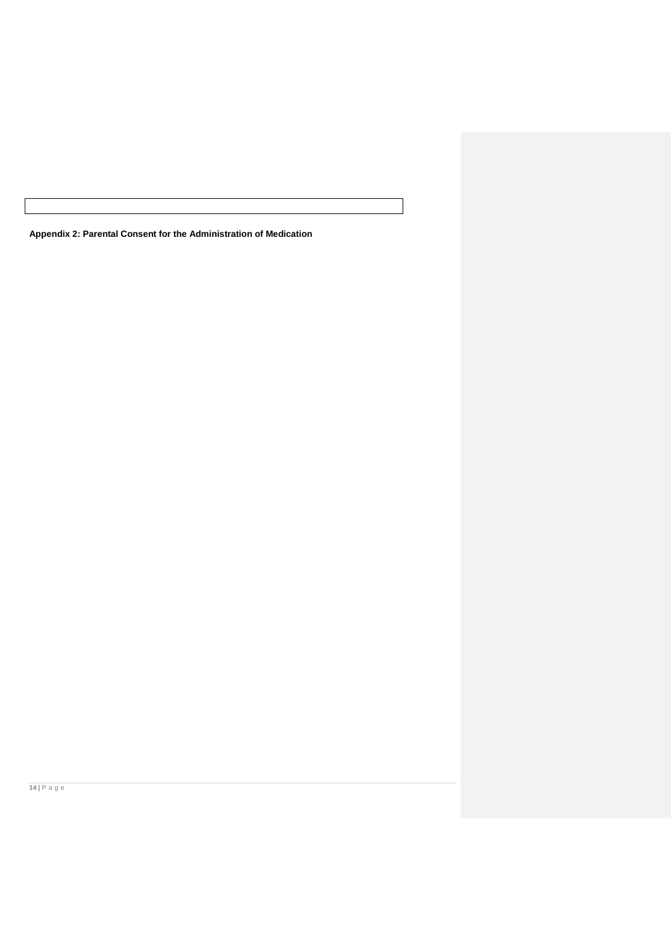**Appendix 2: Parental Consent for the Administration of Medication**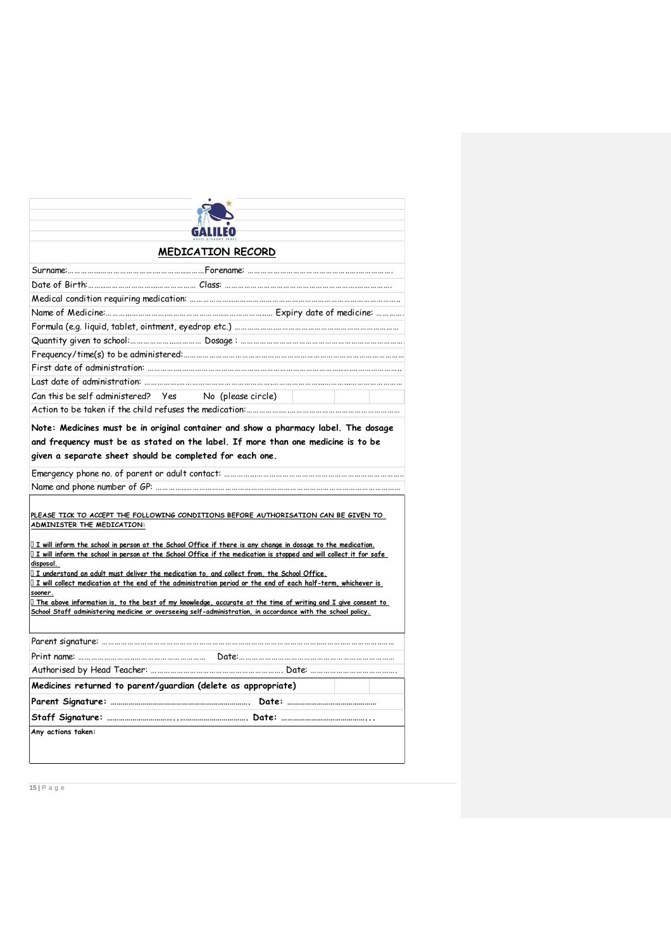| <b>MEDICATION RECORD</b>                                                                                                                                                                                                            |
|-------------------------------------------------------------------------------------------------------------------------------------------------------------------------------------------------------------------------------------|
|                                                                                                                                                                                                                                     |
|                                                                                                                                                                                                                                     |
|                                                                                                                                                                                                                                     |
|                                                                                                                                                                                                                                     |
|                                                                                                                                                                                                                                     |
|                                                                                                                                                                                                                                     |
|                                                                                                                                                                                                                                     |
|                                                                                                                                                                                                                                     |
|                                                                                                                                                                                                                                     |
| Can this be self administered? Yes No (please circle)                                                                                                                                                                               |
|                                                                                                                                                                                                                                     |
| and frequency must be as stated on the label. If more than one medicine is to be<br>given a separate sheet should be completed for each one.                                                                                        |
|                                                                                                                                                                                                                                     |
|                                                                                                                                                                                                                                     |
| PLEASE TICK TO ACCEPT THE FOLLOWING CONDITIONS BEFORE AUTHORISATION CAN BE GIVEN TO                                                                                                                                                 |
| ADMINISTER THE MEDICATION:                                                                                                                                                                                                          |
| I I will inform the school in person at the School Office if there is any change in dosage to the medication.                                                                                                                       |
| $\Box$ I will inform the school in person at the School Office if the medication is stopped and will collect it for safe<br>disposal.                                                                                               |
| $\Box$ I understand an adult must deliver the medication to, and collect from, the School Office.                                                                                                                                   |
| $\Box$ I will collect medication at the end of the administration period or the end of each half-term, whichever is<br>sooner.                                                                                                      |
| $\Box$ The above information is, to the best of my knowledge, accurate at the time of writing and I give consent to<br>School Staff administering medicine or overseeing self-administration, in accordance with the school policy. |
|                                                                                                                                                                                                                                     |
|                                                                                                                                                                                                                                     |
|                                                                                                                                                                                                                                     |
| Medicines returned to parent/guardian (delete as appropriate)                                                                                                                                                                       |
|                                                                                                                                                                                                                                     |
|                                                                                                                                                                                                                                     |
| Any actions taken:                                                                                                                                                                                                                  |
|                                                                                                                                                                                                                                     |